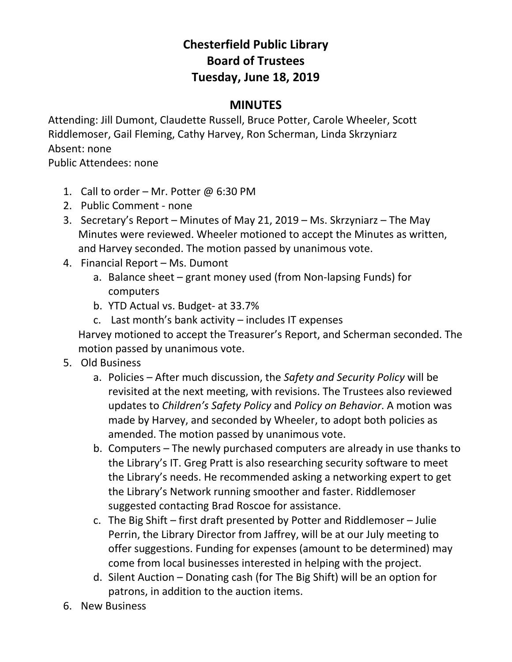## **Chesterfield Public Library Board of Trustees Tuesday, June 18, 2019**

## **MINUTES**

Attending: Jill Dumont, Claudette Russell, Bruce Potter, Carole Wheeler, Scott Riddlemoser, Gail Fleming, Cathy Harvey, Ron Scherman, Linda Skrzyniarz Absent: none

Public Attendees: none

- 1. Call to order Mr. Potter  $\omega$  6:30 PM
- 2. Public Comment none
- 3. Secretary's Report Minutes of May 21, 2019 Ms. Skrzyniarz The May Minutes were reviewed. Wheeler motioned to accept the Minutes as written, and Harvey seconded. The motion passed by unanimous vote.
- 4. Financial Report Ms. Dumont
	- a. Balance sheet grant money used (from Non-lapsing Funds) for computers
	- b. YTD Actual vs. Budget- at 33.7%
	- c. Last month's bank activity includes IT expenses

Harvey motioned to accept the Treasurer's Report, and Scherman seconded. The motion passed by unanimous vote.

- 5. Old Business
	- a. Policies After much discussion, the *Safety and Security Policy* will be revisited at the next meeting, with revisions. The Trustees also reviewed updates to *Children's Safety Policy* and *Policy on Behavior*. A motion was made by Harvey, and seconded by Wheeler, to adopt both policies as amended. The motion passed by unanimous vote.
	- b. Computers The newly purchased computers are already in use thanks to the Library's IT. Greg Pratt is also researching security software to meet the Library's needs. He recommended asking a networking expert to get the Library's Network running smoother and faster. Riddlemoser suggested contacting Brad Roscoe for assistance.
	- c. The Big Shift first draft presented by Potter and Riddlemoser Julie Perrin, the Library Director from Jaffrey, will be at our July meeting to offer suggestions. Funding for expenses (amount to be determined) may come from local businesses interested in helping with the project.
	- d. Silent Auction Donating cash (for The Big Shift) will be an option for patrons, in addition to the auction items.
- 6. New Business